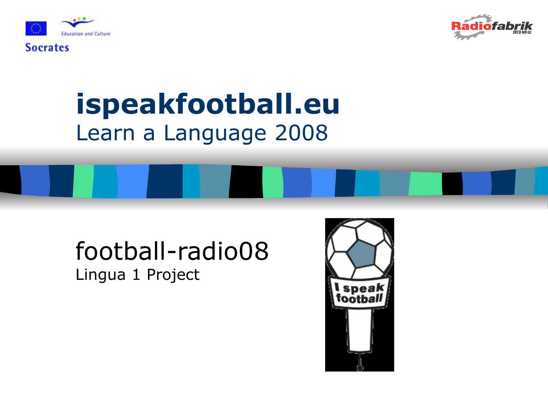

**Socrates** 



### ispeakfootball.eu Learn a Language 2008

#### football-radio08 Lingua 1 Project

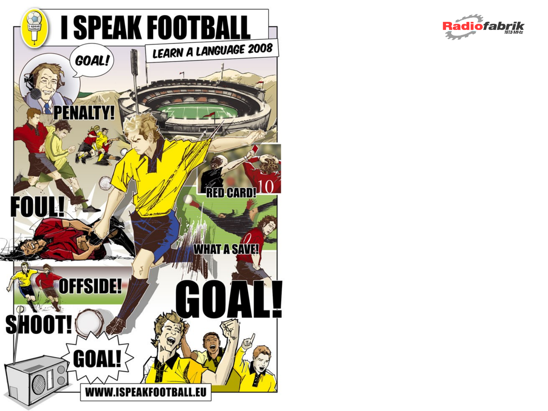

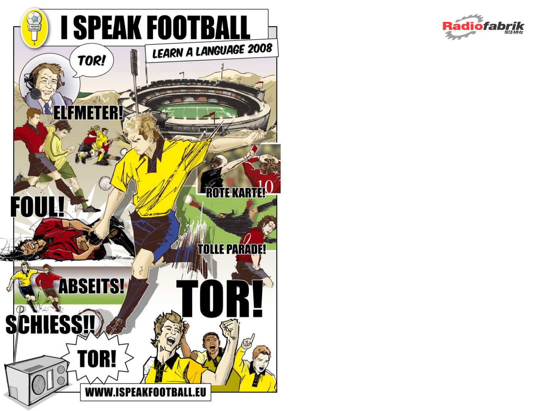

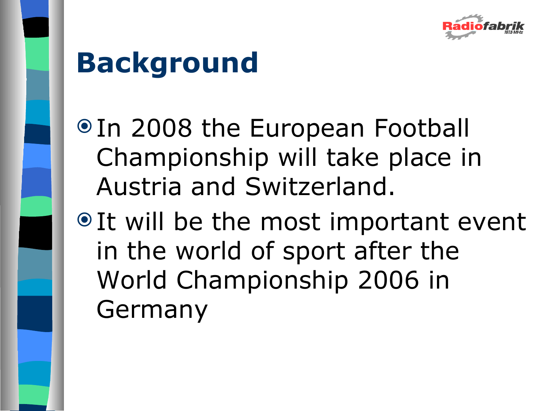

# **Background**

- <sup>●</sup> In 2008 the European Football Championship will take place in Austria and Switzerland.
- $\bullet$  It will be the most important event in the world of sport after the World Championship 2006 in Germany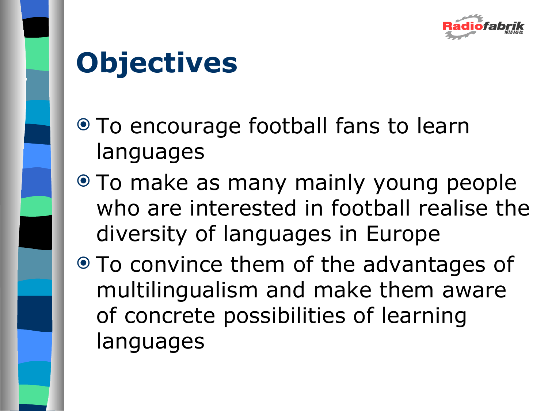

# **Objectives**

- To encourage football fans to learn languages
- $\bullet$  To make as many mainly young people who are interested in football realise the diversity of languages in Europe
- To convince them of the advantages of multilingualism and make them aware of concrete possibilities of learning languages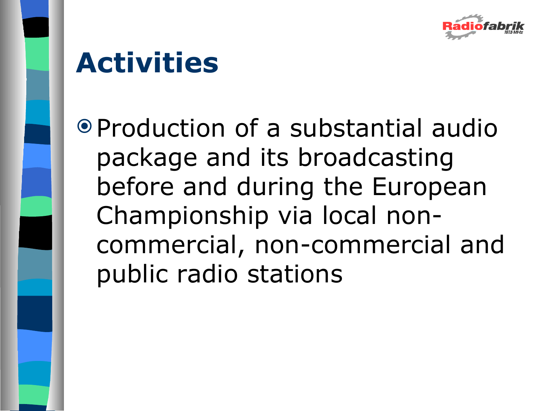

# **Activities**

 Production of a substantial audio package and its broadcasting before and during the European Championship via local noncommercial, non-commercial and public radio stations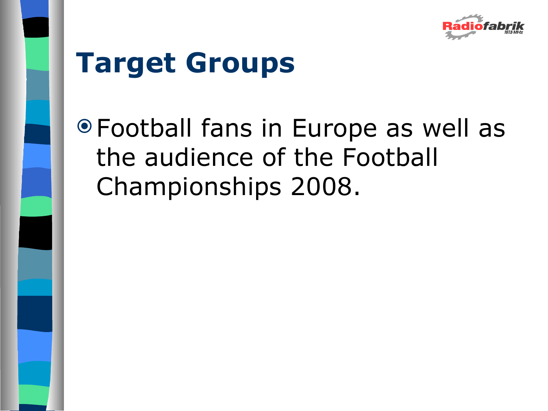

# **Target Groups**

 Football fans in Europe as well as the audience of the Football Championships 2008.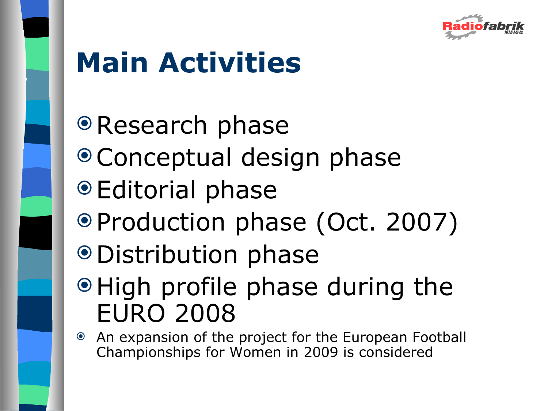

# **Main Activities**

- Research phase
- Conceptual design phase
- Editorial phase
- Production phase (Oct. 2007)
- Distribution phase
- $\odot$  High profile phase during the EURO 2008
- An expansion of the project for the European Football Championships for Women in 2009 is considered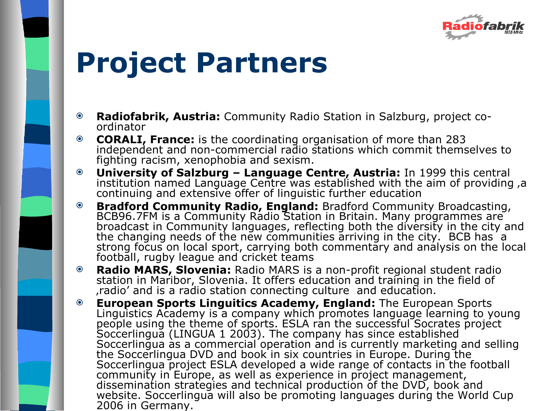

## **Project Partners**

- **Radiofabrik, Austria:** Community Radio Station in Salzburg, project coordinator
- **CORALI, France:** is the coordinating organisation of more than 283 independent and non-commercial radio stations which commit themselves to fighting racism, xenophobia and sexism.
- **University of Salzburg Language Centre, Austria:** In 1999 this central institution named Language Centre was established with the aim of providing, a continuing and extensive offer of linguistic further education
- **Bradford Community Radio, England:** Bradford Community Broadcasting, BCB96.7FM is a Community Radio Station in Britain. Many programmes are broadcast in Community languages, reflecting both the diversity in the city and the changing needs of the new communities arriving in the city. BCB has a strong focus on local sport, carrying both commentary and analysis on the local football, rugby league and cricket teams
- **Radio MARS, Slovenia:** Radio MARS is a non-profit regional student radio station in Maribor, Slovenia. It offers education and training in the field of 'radio' and is a radio station connecting culture and education.
- **European Sports Linguitics Academy, England:** The European Sports Linguistics Academy is a company which promotes language learning to young people using the theme of sports. ESLA ran the successful Socrates project Soccerlingua (LINGUA 1 2003). The company has since established Soccerlingua as a commercial operation and is currently marketing and selling the Soccerlingua DVD and book in six countries in Europe. During the Soccerlingua project ESLA developed a wide range of contacts in the football community in Europe, as well as experience in project management, dissemination strategies and technical production of the DVD, book and website. Soccerlingua will also be promoting languages during the World Cup 2006 in Germany.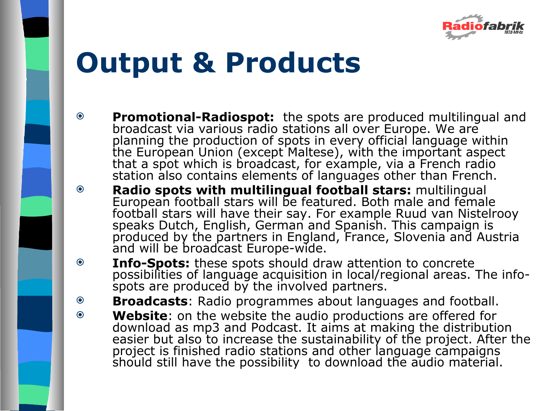

## **Output & Products**

- **Promotional-Radiospot:** the spots are produced multilingual and broadcast via various radio stations all over Europe. We are planning the production of spots in every official language within the European Union (except Maltese), with the important aspect that a spot which is broadcast, for example, via a French radio station also contains elements of languages other than French.
- **Radio spots with multilingual football stars:** multilingual European football stars will be featured. Both male and female football stars will have their say. For example Ruud van Nistelrooy speaks Dutch, English, German and Spanish. This campaign is produced by the partners in England, France, Slovenia and Austria and will be broadcast Europe-wide.
- **Info-Spots:** these spots should draw attention to concrete possibilities of language acquisition in local/regional areas. The infospots are produced by the involved partners.
- **Broadcasts**: Radio programmes about languages and football.
- **Website**: on the website the audio productions are offered for download as mp3 and Podcast. It aims at making the distribution easier but also to increase the sustainability of the project. After the project is finished radio stations and other language campaigns should still have the possibility to download the audio material.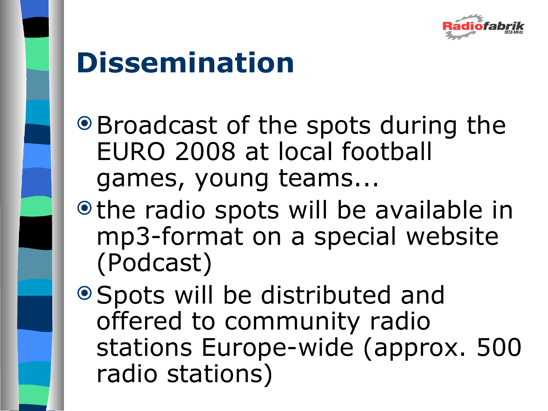

## **Dissemination**

- Broadcast of the spots during the EURO 2008 at local football games, young teams...
- $\bullet$  the radio spots will be available in mp3-format on a special website (Podcast)
- Spots will be distributed and offered to community radio stations Europe-wide (approx. 500 radio stations)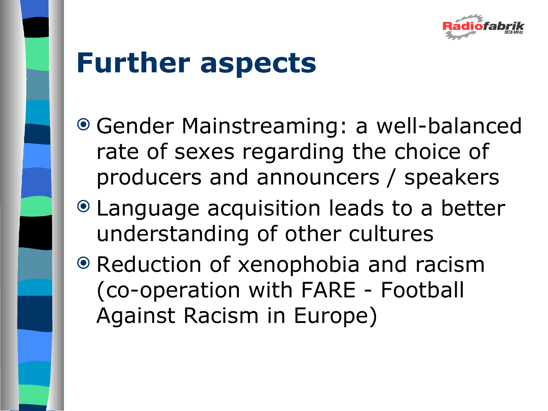

## **Further aspects**

- Gender Mainstreaming: a well-balanced rate of sexes regarding the choice of producers and announcers / speakers
- Language acquisition leads to a better understanding of other cultures
- Reduction of xenophobia and racism (co-operation with FARE - Football Against Racism in Europe)